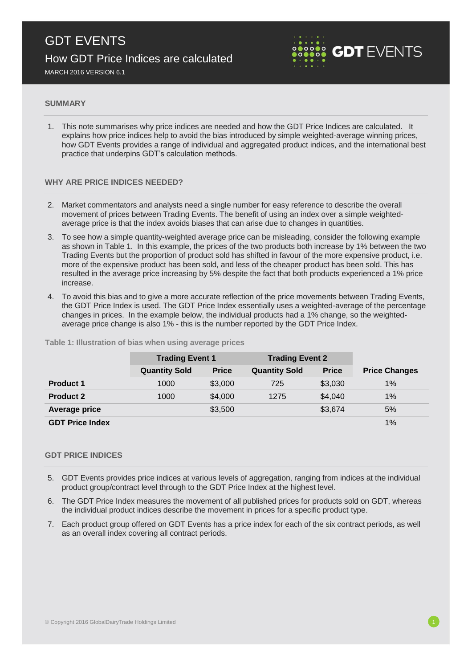

MARCH 2016 VERSION 6.1

### **SUMMARY**

1. This note summarises why price indices are needed and how the GDT Price Indices are calculated. It explains how price indices help to avoid the bias introduced by simple weighted-average winning prices, how GDT Events provides a range of individual and aggregated product indices, and the international best practice that underpins GDT's calculation methods.

# **WHY ARE PRICE INDICES NEEDED?**

- 2. Market commentators and analysts need a single number for easy reference to describe the overall movement of prices between Trading Events. The benefit of using an index over a simple weightedaverage price is that the index avoids biases that can arise due to changes in quantities.
- 3. To see how a simple quantity-weighted average price can be misleading, consider the following example as shown in Table 1. In this example, the prices of the two products both increase by 1% between the two Trading Events but the proportion of product sold has shifted in favour of the more expensive product, i.e. more of the expensive product has been sold, and less of the cheaper product has been sold. This has resulted in the average price increasing by 5% despite the fact that both products experienced a 1% price increase.
- 4. To avoid this bias and to give a more accurate reflection of the price movements between Trading Events, the GDT Price Index is used. The GDT Price Index essentially uses a weighted-average of the percentage changes in prices. In the example below, the individual products had a 1% change, so the weightedaverage price change is also 1% - this is the number reported by the GDT Price Index.

|                        | <b>Trading Event 1</b> |              | <b>Trading Event 2</b> |              |                      |
|------------------------|------------------------|--------------|------------------------|--------------|----------------------|
|                        | <b>Quantity Sold</b>   | <b>Price</b> | <b>Quantity Sold</b>   | <b>Price</b> | <b>Price Changes</b> |
| <b>Product 1</b>       | 1000                   | \$3,000      | 725                    | \$3,030      | 1%                   |
| <b>Product 2</b>       | 1000                   | \$4,000      | 1275                   | \$4,040      | 1%                   |
| <b>Average price</b>   |                        | \$3,500      |                        | \$3,674      | 5%                   |
| <b>GDT Price Index</b> |                        |              |                        |              | 1%                   |

**Table 1: Illustration of bias when using average prices**

### **GDT PRICE INDICES**

- 5. GDT Events provides price indices at various levels of aggregation, ranging from indices at the individual product group/contract level through to the GDT Price Index at the highest level.
- 6. The GDT Price Index measures the movement of all published prices for products sold on GDT, whereas the individual product indices describe the movement in prices for a specific product type.
- 7. Each product group offered on GDT Events has a price index for each of the six contract periods, as well as an overall index covering all contract periods.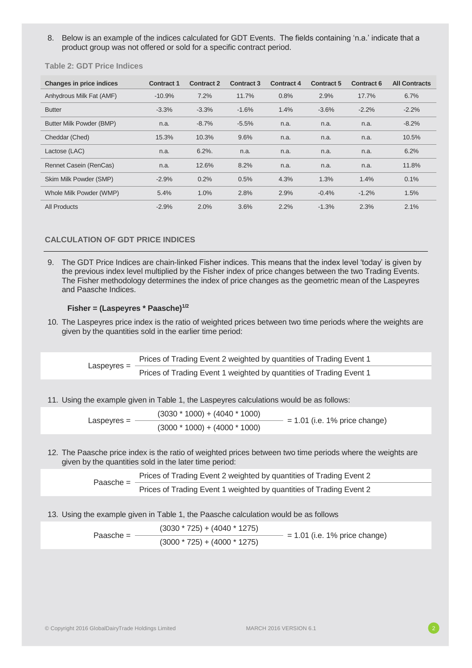8. Below is an example of the indices calculated for GDT Events. The fields containing 'n.a.' indicate that a product group was not offered or sold for a specific contract period.

**Table 2: GDT Price Indices**

| <b>Changes in price indices</b> | <b>Contract 1</b> | <b>Contract 2</b> | <b>Contract 3</b> | <b>Contract 4</b> | <b>Contract 5</b> | <b>Contract 6</b> | <b>All Contracts</b> |
|---------------------------------|-------------------|-------------------|-------------------|-------------------|-------------------|-------------------|----------------------|
| Anhydrous Milk Fat (AMF)        | $-10.9%$          | 7.2%              | 11.7%             | 0.8%              | 2.9%              | 17.7%             | 6.7%                 |
| <b>Butter</b>                   | $-3.3%$           | $-3.3%$           | $-1.6%$           | 1.4%              | $-3.6%$           | $-2.2%$           | $-2.2%$              |
| Butter Milk Powder (BMP)        | n.a.              | $-8.7%$           | $-5.5%$           | n.a.              | n.a.              | n.a.              | $-8.2%$              |
| Cheddar (Ched)                  | 15.3%             | 10.3%             | 9.6%              | n.a.              | n.a.              | n.a.              | 10.5%                |
| Lactose (LAC)                   | n.a.              | $6.2%$ .          | n.a.              | n.a.              | n.a.              | n.a.              | 6.2%                 |
| Rennet Casein (RenCas)          | n.a.              | 12.6%             | 8.2%              | n.a.              | n.a.              | n.a.              | 11.8%                |
| Skim Milk Powder (SMP)          | $-2.9%$           | 0.2%              | 0.5%              | 4.3%              | 1.3%              | 1.4%              | 0.1%                 |
| Whole Milk Powder (WMP)         | 5.4%              | 1.0%              | 2.8%              | 2.9%              | $-0.4%$           | $-1.2%$           | 1.5%                 |
| <b>All Products</b>             | $-2.9%$           | 2.0%              | 3.6%              | 2.2%              | $-1.3%$           | 2.3%              | 2.1%                 |

## **CALCULATION OF GDT PRICE INDICES**

9. The GDT Price Indices are chain-linked Fisher indices. This means that the index level 'today' is given by the previous index level multiplied by the Fisher index of price changes between the two Trading Events. The Fisher methodology determines the index of price changes as the geometric mean of the Laspeyres and Paasche Indices.

# **Fisher = (Laspeyres \* Paasche)1/2**

10. The Laspeyres price index is the ratio of weighted prices between two time periods where the weights are given by the quantities sold in the earlier time period:

> Laspeyres = Prices of Trading Event 2 weighted by quantities of Trading Event 1 Prices of Trading Event 1 weighted by quantities of Trading Event 1

11. Using the example given in Table 1, the Laspeyres calculations would be as follows:

| $L$ aspeyres $=$ | $(3030 * 1000) + (4040 * 1000)$ | $= 1.01$ (i.e. 1% price change) |
|------------------|---------------------------------|---------------------------------|
|                  | $(3000 * 1000) + (4000 * 1000)$ |                                 |

12. The Paasche price index is the ratio of weighted prices between two time periods where the weights are given by the quantities sold in the later time period:

> Paasche = Prices of Trading Event 2 weighted by quantities of Trading Event 2

Prices of Trading Event 1 weighted by quantities of Trading Event 2

#### 13. Using the example given in Table 1, the Paasche calculation would be as follows

Paasche = - $(3030 * 725) + (4040 * 1275)$  $-$  = 1.01 (i.e. 1% price change)  $(3000 * 725) + (4000 * 1275)$